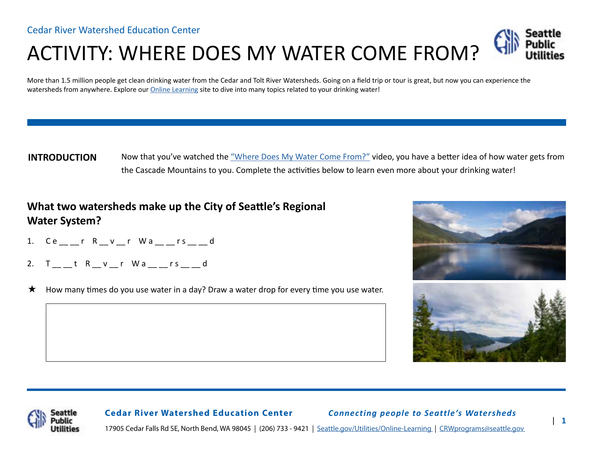# ACTIVITY: WHERE DOES MY WATER COME FROM?

More than 1.5 million people get clean drinking water from the Cedar and Tolt River Watersheds. Going on a field trip or tour is great, but now you can experience the watersheds from anywhere. Explore our [Online Learning](https://www.seattle.gov/utilities/protecting-our-environment/our-water-sources/cedar-river-watershed/online-learning) site to dive into many topics related to your drinking water!

Now that you've watched the ["Where Does My Water Come From?"](https://www.youtube.com/watch?v=LWqXL5bobEs) video, you have a better idea of how water gets from the Cascade Mountains to you. Complete the activities below to learn even more about your drinking water! **INTRODUCTION**

## **What two watersheds make up the City of Seattle's Regional Water System?**

- C e \_\_ \_\_ r R \_\_ v \_\_ r W a \_\_ \_\_ r s \_\_ \_\_ d 1.
- T tR v r W a r s d 2.
- How many times do you use water in a day? Draw a water drop for every time you use water.  $\star$







**Cedar River Watershed Education Center** *Connecting people to Seattle's Watersheds*

17905 Cedar Falls Rd SE, North Bend, WA 98045 | (206) 733 - 9421 | [Seattle.gov/Utilities/Online-Learning](https://www.seattle.gov/utilities/protecting-our-environment/our-water-sources/cedar-river-watershed/online-learning) | [CRWprograms@seattle.gov](mailto:CRWprograms%40seattle.gov%20?subject=)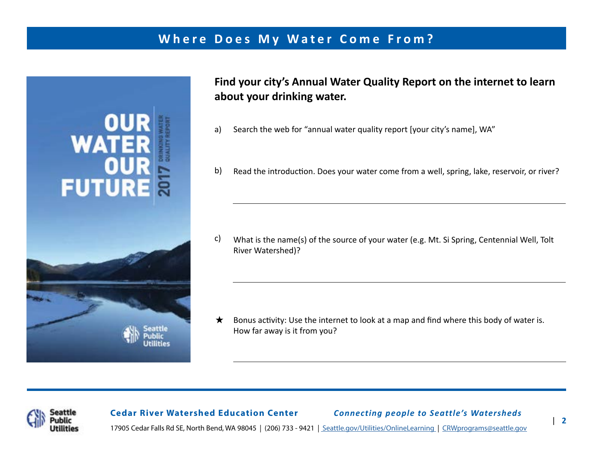# **Where Does My Water Come From?**



**Find your city's Annual Water Quality Report on the internet to learn about your drinking water.**

- Search the web for "annual water quality report [your city's name], WA" a)
- Read the introduction. Does your water come from a well, spring, lake, reservoir, or river? b)

What is the name(s) of the source of your water (e.g. Mt. Si Spring, Centennial Well, Tolt River Watershed)? c)

Bonus activity: Use the internet to look at a map and find where this body of water is. How far away is it from you?  $\star$ 



### **Cedar River Watershed Education Center** *Connecting people to Seattle's Watersheds*

17905 Cedar Falls Rd SE, North Bend, WA 98045 | (206) 733 - 9421 | [Seattle.gov/Utilities/OnlineLearning](https://www.seattle.gov/utilities/protecting-our-environment/our-water-sources/cedar-river-watershed/online-learning) | [CRWprograms@seattle.gov](mailto:CRWprograms%40seattle.gov%20?subject=)